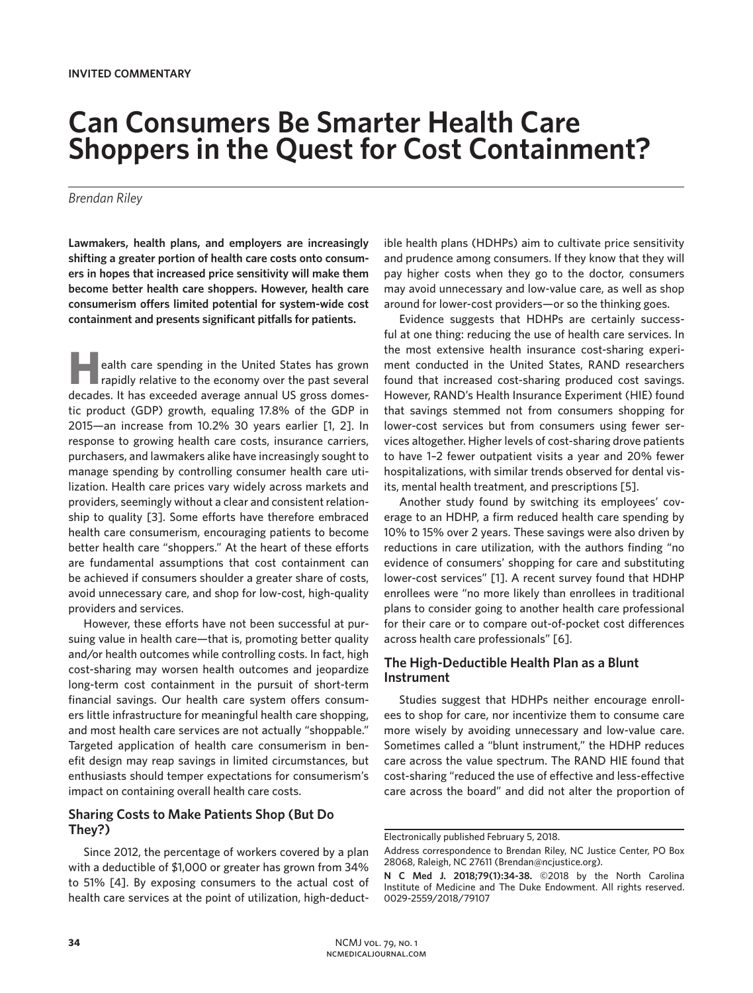# **Can Consumers Be Smarter Health Care Shoppers in the Quest for Cost Containment?**

#### *Brendan Riley*

**Lawmakers, health plans, and employers are increasingly shifting a greater portion of health care costs onto consumers in hopes that increased price sensitivity will make them become better health care shoppers. However, health care consumerism offers limited potential for system-wide cost containment and presents significant pitfalls for patients.**

ealth care spending in the United States has grown rapidly relative to the economy over the past several decades. It has exceeded average annual US gross domestic product (GDP) growth, equaling 17.8% of the GDP in 2015—an increase from 10.2% 30 years earlier [1, 2]. In response to growing health care costs, insurance carriers, purchasers, and lawmakers alike have increasingly sought to manage spending by controlling consumer health care utilization. Health care prices vary widely across markets and providers, seemingly without a clear and consistent relationship to quality [3]. Some efforts have therefore embraced health care consumerism, encouraging patients to become better health care "shoppers." At the heart of these efforts are fundamental assumptions that cost containment can be achieved if consumers shoulder a greater share of costs, avoid unnecessary care, and shop for low-cost, high-quality providers and services.

However, these efforts have not been successful at pursuing value in health care—that is, promoting better quality and/or health outcomes while controlling costs. In fact, high cost-sharing may worsen health outcomes and jeopardize long-term cost containment in the pursuit of short-term financial savings. Our health care system offers consumers little infrastructure for meaningful health care shopping, and most health care services are not actually "shoppable." Targeted application of health care consumerism in benefit design may reap savings in limited circumstances, but enthusiasts should temper expectations for consumerism's impact on containing overall health care costs.

# **Sharing Costs to Make Patients Shop (But Do They?)**

Since 2012, the percentage of workers covered by a plan with a deductible of \$1,000 or greater has grown from 34% to 51% [4]. By exposing consumers to the actual cost of health care services at the point of utilization, high-deductible health plans (HDHPs) aim to cultivate price sensitivity and prudence among consumers. If they know that they will pay higher costs when they go to the doctor, consumers may avoid unnecessary and low-value care, as well as shop around for lower-cost providers—or so the thinking goes.

Evidence suggests that HDHPs are certainly successful at one thing: reducing the use of health care services. In the most extensive health insurance cost-sharing experiment conducted in the United States, RAND researchers found that increased cost-sharing produced cost savings. However, RAND's Health Insurance Experiment (HIE) found that savings stemmed not from consumers shopping for lower-cost services but from consumers using fewer services altogether. Higher levels of cost-sharing drove patients to have 1–2 fewer outpatient visits a year and 20% fewer hospitalizations, with similar trends observed for dental visits, mental health treatment, and prescriptions [5].

Another study found by switching its employees' coverage to an HDHP, a firm reduced health care spending by 10% to 15% over 2 years. These savings were also driven by reductions in care utilization, with the authors finding "no evidence of consumers' shopping for care and substituting lower-cost services" [1]. A recent survey found that HDHP enrollees were "no more likely than enrollees in traditional plans to consider going to another health care professional for their care or to compare out-of-pocket cost differences across health care professionals" [6].

# **The High-Deductible Health Plan as a Blunt Instrument**

Studies suggest that HDHPs neither encourage enrollees to shop for care, nor incentivize them to consume care more wisely by avoiding unnecessary and low-value care. Sometimes called a "blunt instrument," the HDHP reduces care across the value spectrum. The RAND HIE found that cost-sharing "reduced the use of effective and less-effective care across the board" and did not alter the proportion of

Electronically published February 5, 2018.

Address correspondence to Brendan Riley, NC Justice Center, PO Box 28068, Raleigh, NC 27611 (Brendan@ncjustice.org).

**N C Med J. 2018;79(1):34-38.** ©2018 by the North Carolina Institute of Medicine and The Duke Endowment. All rights reserved. 0029-2559/2018/79107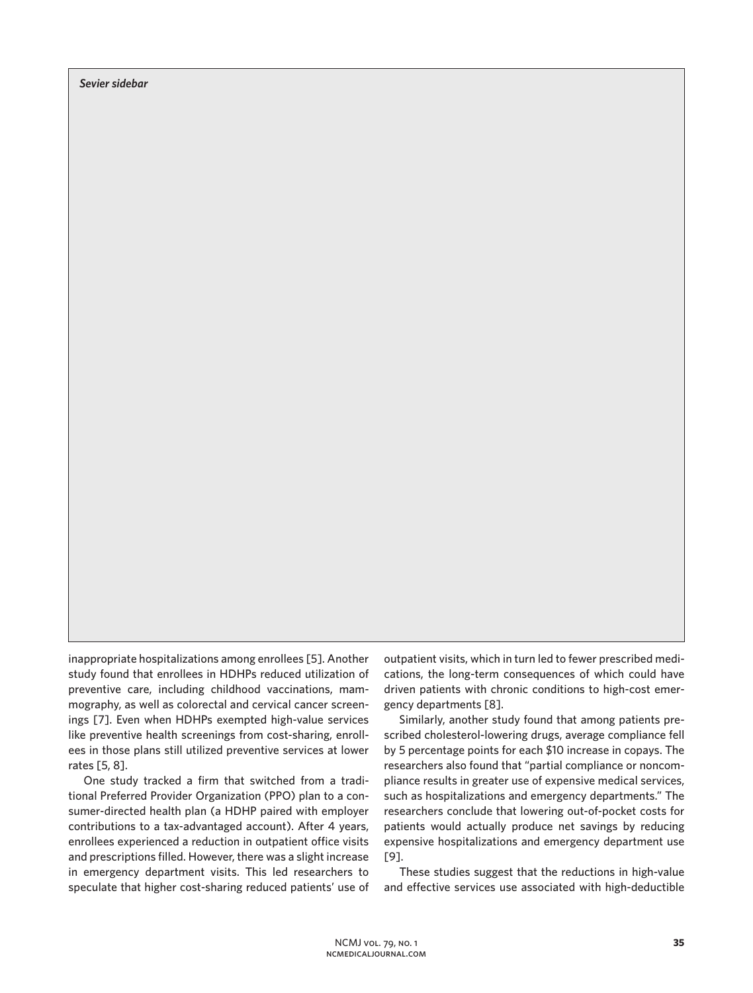*Sevier sidebar*

inappropriate hospitalizations among enrollees [5]. Another study found that enrollees in HDHPs reduced utilization of preventive care, including childhood vaccinations, mammography, as well as colorectal and cervical cancer screenings [7]. Even when HDHPs exempted high-value services like preventive health screenings from cost-sharing, enrollees in those plans still utilized preventive services at lower rates [5, 8].

One study tracked a firm that switched from a traditional Preferred Provider Organization (PPO) plan to a consumer-directed health plan (a HDHP paired with employer contributions to a tax-advantaged account). After 4 years, enrollees experienced a reduction in outpatient office visits and prescriptions filled. However, there was a slight increase in emergency department visits. This led researchers to speculate that higher cost-sharing reduced patients' use of outpatient visits, which in turn led to fewer prescribed medications, the long-term consequences of which could have driven patients with chronic conditions to high-cost emergency departments [8].

Similarly, another study found that among patients prescribed cholesterol-lowering drugs, average compliance fell by 5 percentage points for each \$10 increase in copays. The researchers also found that "partial compliance or noncompliance results in greater use of expensive medical services, such as hospitalizations and emergency departments." The researchers conclude that lowering out-of-pocket costs for patients would actually produce net savings by reducing expensive hospitalizations and emergency department use [9].

These studies suggest that the reductions in high-value and effective services use associated with high-deductible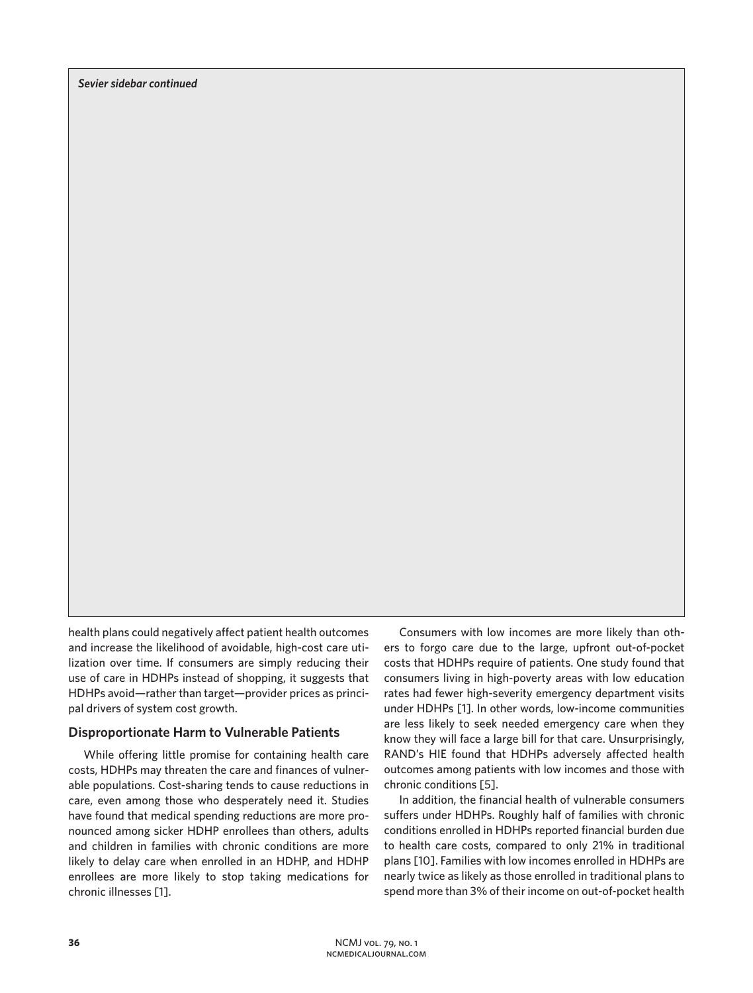health plans could negatively affect patient health outcomes and increase the likelihood of avoidable, high-cost care utilization over time. If consumers are simply reducing their use of care in HDHPs instead of shopping, it suggests that HDHPs avoid—rather than target—provider prices as principal drivers of system cost growth.

## **Disproportionate Harm to Vulnerable Patients**

While offering little promise for containing health care costs, HDHPs may threaten the care and finances of vulnerable populations. Cost-sharing tends to cause reductions in care, even among those who desperately need it. Studies have found that medical spending reductions are more pronounced among sicker HDHP enrollees than others, adults and children in families with chronic conditions are more likely to delay care when enrolled in an HDHP, and HDHP enrollees are more likely to stop taking medications for chronic illnesses [1].

Consumers with low incomes are more likely than others to forgo care due to the large, upfront out-of-pocket costs that HDHPs require of patients. One study found that consumers living in high-poverty areas with low education rates had fewer high-severity emergency department visits under HDHPs [1]. In other words, low-income communities are less likely to seek needed emergency care when they know they will face a large bill for that care. Unsurprisingly, RAND's HIE found that HDHPs adversely affected health outcomes among patients with low incomes and those with chronic conditions [5].

In addition, the financial health of vulnerable consumers suffers under HDHPs. Roughly half of families with chronic conditions enrolled in HDHPs reported financial burden due to health care costs, compared to only 21% in traditional plans [10]. Families with low incomes enrolled in HDHPs are nearly twice as likely as those enrolled in traditional plans to spend more than 3% of their income on out-of-pocket health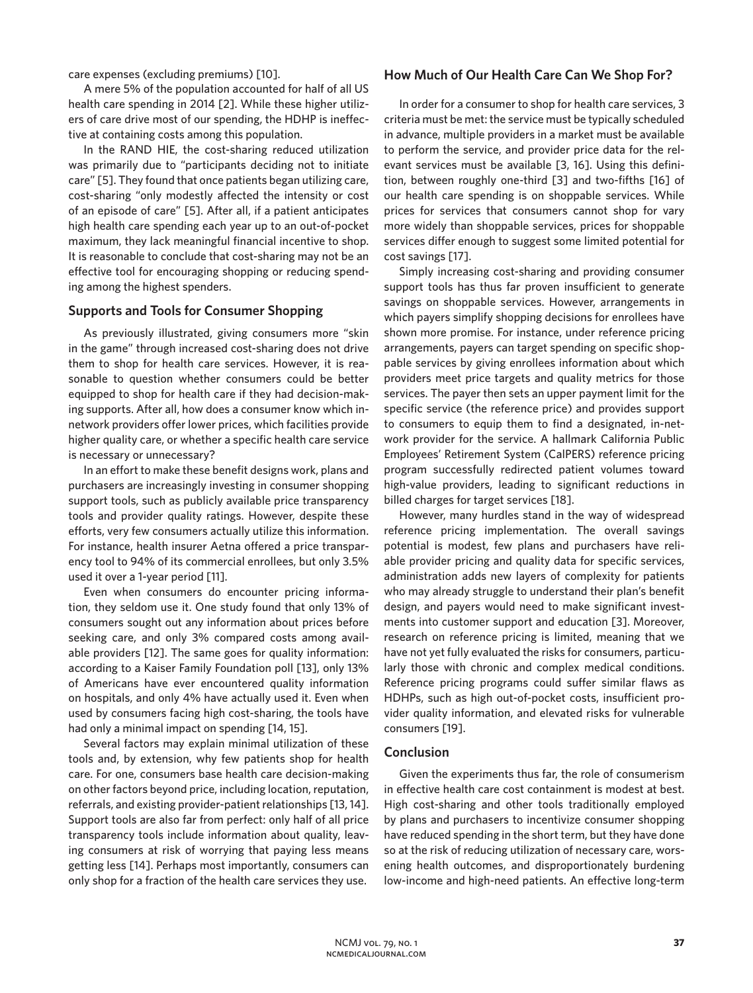care expenses (excluding premiums) [10].

A mere 5% of the population accounted for half of all US health care spending in 2014 [2]. While these higher utilizers of care drive most of our spending, the HDHP is ineffective at containing costs among this population.

In the RAND HIE, the cost-sharing reduced utilization was primarily due to "participants deciding not to initiate care" [5]. They found that once patients began utilizing care, cost-sharing "only modestly affected the intensity or cost of an episode of care" [5]. After all, if a patient anticipates high health care spending each year up to an out-of-pocket maximum, they lack meaningful financial incentive to shop. It is reasonable to conclude that cost-sharing may not be an effective tool for encouraging shopping or reducing spending among the highest spenders.

# **Supports and Tools for Consumer Shopping**

As previously illustrated, giving consumers more "skin in the game" through increased cost-sharing does not drive them to shop for health care services. However, it is reasonable to question whether consumers could be better equipped to shop for health care if they had decision-making supports. After all, how does a consumer know which innetwork providers offer lower prices, which facilities provide higher quality care, or whether a specific health care service is necessary or unnecessary?

In an effort to make these benefit designs work, plans and purchasers are increasingly investing in consumer shopping support tools, such as publicly available price transparency tools and provider quality ratings. However, despite these efforts, very few consumers actually utilize this information. For instance, health insurer Aetna offered a price transparency tool to 94% of its commercial enrollees, but only 3.5% used it over a 1-year period [11].

Even when consumers do encounter pricing information, they seldom use it. One study found that only 13% of consumers sought out any information about prices before seeking care, and only 3% compared costs among available providers [12]. The same goes for quality information: according to a Kaiser Family Foundation poll [13], only 13% of Americans have ever encountered quality information on hospitals, and only 4% have actually used it. Even when used by consumers facing high cost-sharing, the tools have had only a minimal impact on spending [14, 15].

Several factors may explain minimal utilization of these tools and, by extension, why few patients shop for health care. For one, consumers base health care decision-making on other factors beyond price, including location, reputation, referrals, and existing provider-patient relationships [13, 14]. Support tools are also far from perfect: only half of all price transparency tools include information about quality, leaving consumers at risk of worrying that paying less means getting less [14]. Perhaps most importantly, consumers can only shop for a fraction of the health care services they use.

## **How Much of Our Health Care Can We Shop For?**

In order for a consumer to shop for health care services, 3 criteria must be met: the service must be typically scheduled in advance, multiple providers in a market must be available to perform the service, and provider price data for the relevant services must be available [3, 16]. Using this definition, between roughly one-third [3] and two-fifths [16] of our health care spending is on shoppable services. While prices for services that consumers cannot shop for vary more widely than shoppable services, prices for shoppable services differ enough to suggest some limited potential for cost savings [17].

Simply increasing cost-sharing and providing consumer support tools has thus far proven insufficient to generate savings on shoppable services. However, arrangements in which payers simplify shopping decisions for enrollees have shown more promise. For instance, under reference pricing arrangements, payers can target spending on specific shoppable services by giving enrollees information about which providers meet price targets and quality metrics for those services. The payer then sets an upper payment limit for the specific service (the reference price) and provides support to consumers to equip them to find a designated, in-network provider for the service. A hallmark California Public Employees' Retirement System (CalPERS) reference pricing program successfully redirected patient volumes toward high-value providers, leading to significant reductions in billed charges for target services [18].

However, many hurdles stand in the way of widespread reference pricing implementation. The overall savings potential is modest, few plans and purchasers have reliable provider pricing and quality data for specific services, administration adds new layers of complexity for patients who may already struggle to understand their plan's benefit design, and payers would need to make significant investments into customer support and education [3]. Moreover, research on reference pricing is limited, meaning that we have not yet fully evaluated the risks for consumers, particularly those with chronic and complex medical conditions. Reference pricing programs could suffer similar flaws as HDHPs, such as high out-of-pocket costs, insufficient provider quality information, and elevated risks for vulnerable consumers [19].

#### **Conclusion**

Given the experiments thus far, the role of consumerism in effective health care cost containment is modest at best. High cost-sharing and other tools traditionally employed by plans and purchasers to incentivize consumer shopping have reduced spending in the short term, but they have done so at the risk of reducing utilization of necessary care, worsening health outcomes, and disproportionately burdening low-income and high-need patients. An effective long-term